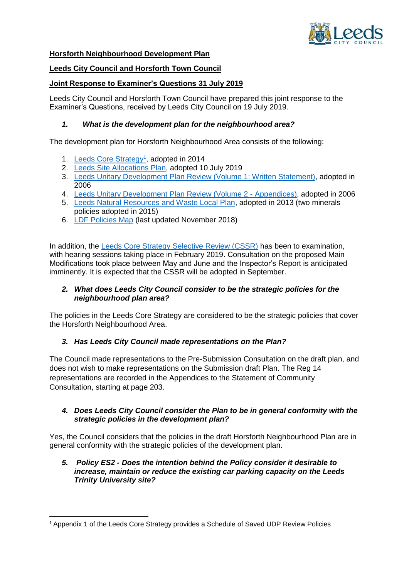

### **Horsforth Neighbourhood Development Plan**

## **Leeds City Council and Horsforth Town Council**

## **Joint Response to Examiner's Questions 31 July 2019**

Leeds City Council and Horsforth Town Council have prepared this joint response to the Examiner's Questions, received by Leeds City Council on 19 July 2019.

## *1. What is the development plan for the neighbourhood area?*

The development plan for Horsforth Neighbourhood Area consists of the following:

- 1. [Leeds Core Strategy](https://www.leeds.gov.uk/Local%20Plans/Adopted%20Core%20Strategy/Adopted%20Core%20Strategy%20Final%20Nov%202014.pdf)<sup>1</sup>, adopted in 2014
- 2. [Leeds Site Allocations Plan,](https://www.leeds.gov.uk/planning/planning-policy/adopted-local-plan/site-allocations-plan) adopted 10 July 2019
- 3. [Leeds Unitary Development Plan Review \(Volume 1: Written Statement\),](https://www.leeds.gov.uk/docs/FPI_UDP_001%20Volumen%201%20Written%20Statement.pdf) adopted in 2006
- 4. Leeds Unitary Development Plan Review (Volume 2 Appendices), adopted in 2006
- 5. [Leeds Natural Resources and Waste Local Plan,](https://www.leeds.gov.uk/docs/Adopted%20Consolidated%20NRWLP%20Inc%20Policies%20Mins%2013-14.pdf) adopted in 2013 (two minerals policies adopted in 2015)
- 6. [LDF Policies Map](https://www.leeds.gov.uk/planning/planning-policy/policies-maps) (last updated November 2018)

In addition, the [Leeds Core Strategy Selective Review \(CSSR\)](https://www.leeds.gov.uk/planning/planning-policy/emerging-local-plan/core-strategy-selective-review) has been to examination, with hearing sessions taking place in February 2019. Consultation on the proposed Main Modifications took place between May and June and the Inspector's Report is anticipated imminently. It is expected that the CSSR will be adopted in September.

### *2. What does Leeds City Council consider to be the strategic policies for the neighbourhood plan area?*

The policies in the Leeds Core Strategy are considered to be the strategic policies that cover the Horsforth Neighbourhood Area.

# *3. Has Leeds City Council made representations on the Plan?*

The Council made representations to the Pre-Submission Consultation on the draft plan, and does not wish to make representations on the Submission draft Plan. The Reg 14 representations are recorded in the Appendices to the Statement of Community Consultation, starting at page 203.

### *4. Does Leeds City Council consider the Plan to be in general conformity with the strategic policies in the development plan?*

Yes, the Council considers that the policies in the draft Horsforth Neighbourhood Plan are in general conformity with the strategic policies of the development plan.

### *5. Policy ES2 - Does the intention behind the Policy consider it desirable to increase, maintain or reduce the existing car parking capacity on the Leeds Trinity University site?*

**<sup>.</sup>** <sup>1</sup> Appendix 1 of the Leeds Core Strategy provides a Schedule of Saved UDP Review Policies